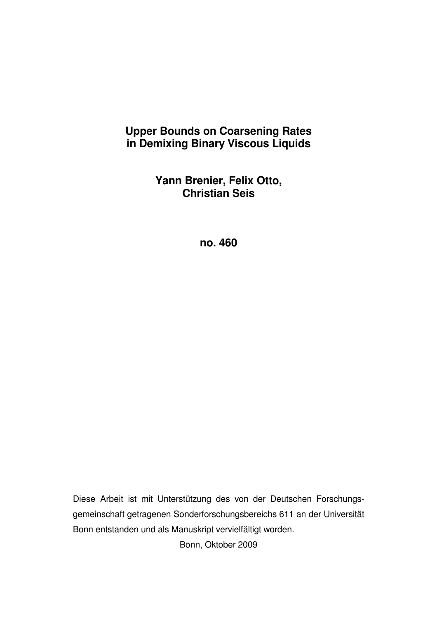# **Upper Bounds on Coarsening Rates in Demixing Binary Viscous Liquids**

**Yann Brenier, Felix Otto, Christian Seis** 

**no. 460** 

Diese Arbeit ist mit Unterstützung des von der Deutschen Forschungsgemeinschaft getragenen Sonderforschungsbereichs 611 an der Universität Bonn entstanden und als Manuskript vervielfältigt worden.

Bonn, Oktober 2009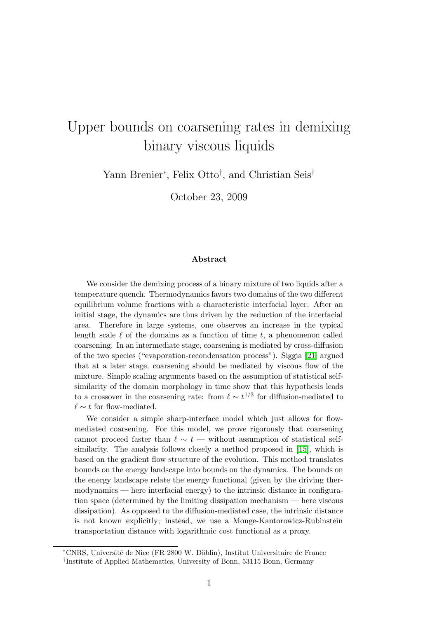# Upper bounds on coarsening rates in demixing binary viscous liquids

Yann Brenier<sup>∗</sup>, Felix Otto<sup>†</sup>, and Christian Seis<sup>†</sup>

October 23, 2009

#### Abstract

We consider the demixing process of a binary mixture of two liquids after a temperature quench. Thermodynamics favors two domains of the two different equilibrium volume fractions with a characteristic interfacial layer. After an initial stage, the dynamics are thus driven by the reduction of the interfacial area. Therefore in large systems, one observes an increase in the typical length scale  $\ell$  of the domains as a function of time t, a phenomenon called coarsening. In an intermediate stage, coarsening is mediated by cross-diffusion of the two species ("evaporation-recondensation process"). Siggia [\[21\]](#page-27-0) argued that at a later stage, coarsening should be mediated by viscous flow of the mixture. Simple scaling arguments based on the assumption of statistical selfsimilarity of the domain morphology in time show that this hypothesis leads to a crossover in the coarsening rate: from  $\ell \sim t^{1/3}$  for diffusion-mediated to  $\ell \sim t$  for flow-mediated.

We consider a simple sharp-interface model which just allows for flowmediated coarsening. For this model, we prove rigorously that coarsening cannot proceed faster than  $\ell \sim t$  — without assumption of statistical selfsimilarity. The analysis follows closely a method proposed in [\[15\]](#page-26-0), which is based on the gradient flow structure of the evolution. This method translates bounds on the energy landscape into bounds on the dynamics. The bounds on the energy landscape relate the energy functional (given by the driving thermodynamics — here interfacial energy) to the intrinsic distance in configuration space (determined by the limiting dissipation mechanism — here viscous dissipation). As opposed to the diffusion-mediated case, the intrinsic distance is not known explicitly; instead, we use a Monge-Kantorowicz-Rubinstein transportation distance with logarithmic cost functional as a proxy.

<sup>∗</sup>CNRS, Universit´e de Nice (FR 2800 W. D¨oblin), Institut Universitaire de France † Institute of Applied Mathematics, University of Bonn, 53115 Bonn, Germany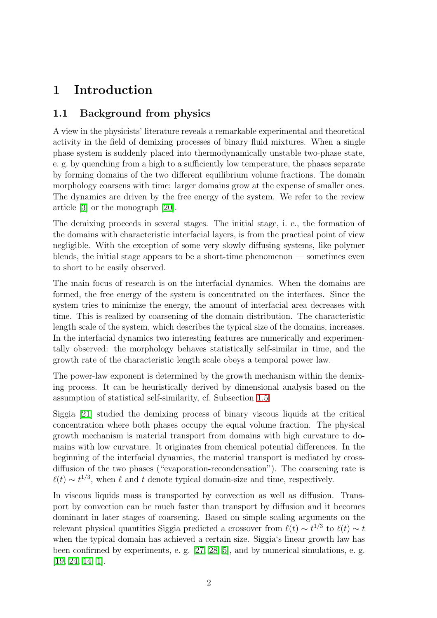# 1 Introduction

## 1.1 Background from physics

A view in the physicists' literature reveals a remarkable experimental and theoretical activity in the field of demixing processes of binary fluid mixtures. When a single phase system is suddenly placed into thermodynamically unstable two-phase state, e. g. by quenching from a high to a sufficiently low temperature, the phases separate by forming domains of the two different equilibrium volume fractions. The domain morphology coarsens with time: larger domains grow at the expense of smaller ones. The dynamics are driven by the free energy of the system. We refer to the review article [\[3\]](#page-25-0) or the monograph [\[20\]](#page-27-1).

The demixing proceeds in several stages. The initial stage, i. e., the formation of the domains with characteristic interfacial layers, is from the practical point of view negligible. With the exception of some very slowly diffusing systems, like polymer blends, the initial stage appears to be a short-time phenomenon — sometimes even to short to be easily observed.

The main focus of research is on the interfacial dynamics. When the domains are formed, the free energy of the system is concentrated on the interfaces. Since the system tries to minimize the energy, the amount of interfacial area decreases with time. This is realized by coarsening of the domain distribution. The characteristic length scale of the system, which describes the typical size of the domains, increases. In the interfacial dynamics two interesting features are numerically and experimentally observed: the morphology behaves statistically self-similar in time, and the growth rate of the characteristic length scale obeys a temporal power law.

The power-law exponent is determined by the growth mechanism within the demixing process. It can be heuristically derived by dimensional analysis based on the assumption of statistical self-similarity, cf. Subsection [1.5.](#page-10-0)

Siggia [\[21\]](#page-27-0) studied the demixing process of binary viscous liquids at the critical concentration where both phases occupy the equal volume fraction. The physical growth mechanism is material transport from domains with high curvature to domains with low curvature. It originates from chemical potential differences. In the beginning of the interfacial dynamics, the material transport is mediated by crossdiffusion of the two phases ("evaporation-recondensation"). The coarsening rate is  $\ell(t) \sim t^{1/3}$ , when  $\ell$  and t denote typical domain-size and time, respectively.

In viscous liquids mass is transported by convection as well as diffusion. Transport by convection can be much faster than transport by diffusion and it becomes dominant in later stages of coarsening. Based on simple scaling arguments on the relevant physical quantities Siggia predicted a crossover from  $\ell(t) \sim t^{1/3}$  to  $\ell(t) \sim t$ when the typical domain has achieved a certain size. Siggia's linear growth law has been confirmed by experiments, e. g. [\[27,](#page-27-2) [28,](#page-27-3) [5\]](#page-26-1), and by numerical simulations, e. g. [\[19,](#page-27-4) [24,](#page-27-5) [14,](#page-26-2) [1\]](#page-25-1).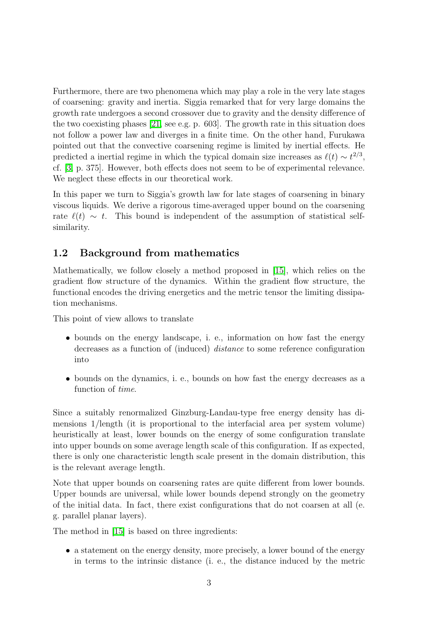Furthermore, there are two phenomena which may play a role in the very late stages of coarsening: gravity and inertia. Siggia remarked that for very large domains the growth rate undergoes a second crossover due to gravity and the density difference of the two coexisting phases [\[21,](#page-27-0) see e.g. p. 603]. The growth rate in this situation does not follow a power law and diverges in a finite time. On the other hand, Furukawa pointed out that the convective coarsening regime is limited by inertial effects. He predicted a inertial regime in which the typical domain size increases as  $\ell(t) \sim t^{2/3}$ , cf. [\[3,](#page-25-0) p. 375]. However, both effects does not seem to be of experimental relevance. We neglect these effects in our theoretical work.

In this paper we turn to Siggia's growth law for late stages of coarsening in binary viscous liquids. We derive a rigorous time-averaged upper bound on the coarsening rate  $\ell(t) \sim t$ . This bound is independent of the assumption of statistical selfsimilarity.

## 1.2 Background from mathematics

Mathematically, we follow closely a method proposed in [\[15\]](#page-26-0), which relies on the gradient flow structure of the dynamics. Within the gradient flow structure, the functional encodes the driving energetics and the metric tensor the limiting dissipation mechanisms.

This point of view allows to translate

- bounds on the energy landscape, i. e., information on how fast the energy decreases as a function of (induced) distance to some reference configuration into
- bounds on the dynamics, i. e., bounds on how fast the energy decreases as a function of time.

Since a suitably renormalized Ginzburg-Landau-type free energy density has dimensions 1/length (it is proportional to the interfacial area per system volume) heuristically at least, lower bounds on the energy of some configuration translate into upper bounds on some average length scale of this configuration. If as expected, there is only one characteristic length scale present in the domain distribution, this is the relevant average length.

Note that upper bounds on coarsening rates are quite different from lower bounds. Upper bounds are universal, while lower bounds depend strongly on the geometry of the initial data. In fact, there exist configurations that do not coarsen at all (e. g. parallel planar layers).

The method in [\[15\]](#page-26-0) is based on three ingredients:

• a statement on the energy density, more precisely, a lower bound of the energy in terms to the intrinsic distance (i. e., the distance induced by the metric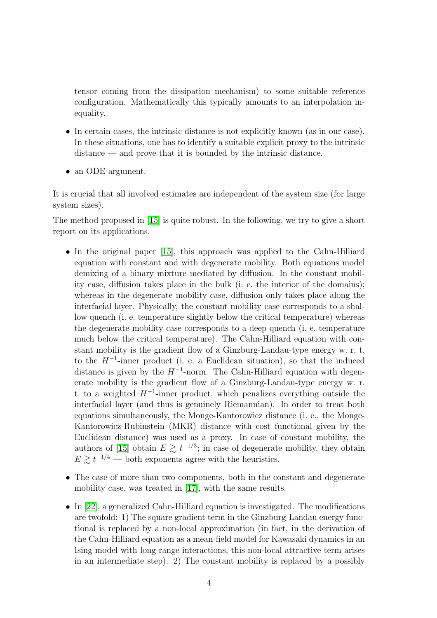tensor coming from the dissipation mechanism) to some suitable reference configuration. Mathematically this typically amounts to an interpolation inequality.

- In certain cases, the intrinsic distance is not explicitly known (as in our case). In these situations, one has to identify a suitable explicit proxy to the intrinsic distance — and prove that it is bounded by the intrinsic distance.
- an ODE-argument.

It is crucial that all involved estimates are independent of the system size (for large system sizes).

The method proposed in [\[15\]](#page-26-0) is quite robust. In the following, we try to give a short report on its applications.

- In the original paper [\[15\]](#page-26-0), this approach was applied to the Cahn-Hilliard equation with constant and with degenerate mobility. Both equations model demixing of a binary mixture mediated by diffusion. In the constant mobility case, diffusion takes place in the bulk (i. e. the interior of the domains); whereas in the degenerate mobility case, diffusion only takes place along the interfacial layer. Physically, the constant mobility case corresponds to a shallow quench (i. e. temperature slightly below the critical temperature) whereas the degenerate mobility case corresponds to a deep quench (i. e. temperature much below the critical temperature). The Cahn-Hilliard equation with constant mobility is the gradient flow of a Ginzburg-Landau-type energy w. r. t. to the  $H^{-1}$ -inner product (i. e. a Euclidean situation), so that the induced distance is given by the  $H^{-1}$ -norm. The Cahn-Hilliard equation with degenerate mobility is the gradient flow of a Ginzburg-Landau-type energy w. r. t. to a weighted  $H^{-1}$ -inner product, which penalizes everything outside the interfacial layer (and thus is genuinely Riemannian). In order to treat both equations simultaneously, the Monge-Kantorowicz distance (i. e., the Monge-Kantorowicz-Rubinstein (MKR) distance with cost functional given by the Euclidean distance) was used as a proxy. In case of constant mobility, the authors of [\[15\]](#page-26-0) obtain  $E \gtrsim t^{-1/3}$ ; in case of degenerate mobility, they obtain  $E \gtrsim t^{-1/4}$  — both exponents agree with the heuristics.
- The case of more than two components, both in the constant and degenerate mobility case, was treated in [\[17\]](#page-26-3), with the same results.
- In [\[22\]](#page-27-6), a generalized Cahn-Hilliard equation is investigated. The modifications are twofold: 1) The square gradient term in the Ginzburg-Landau energy functional is replaced by a non-local approximation (in fact, in the derivation of the Cahn-Hilliard equation as a mean-field model for Kawasaki dynamics in an Ising model with long-range interactions, this non-local attractive term arises in an intermediate step). 2) The constant mobility is replaced by a possibly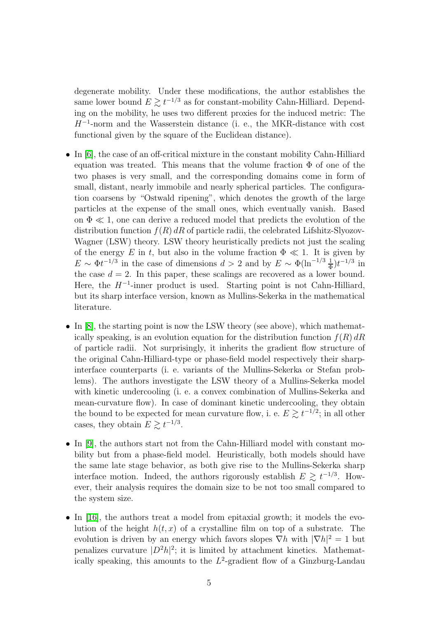degenerate mobility. Under these modifications, the author establishes the same lower bound  $E \gtrsim t^{-1/3}$  as for constant-mobility Cahn-Hilliard. Depending on the mobility, he uses two different proxies for the induced metric: The H<sup>−</sup><sup>1</sup> -norm and the Wasserstein distance (i. e., the MKR-distance with cost functional given by the square of the Euclidean distance).

- In [\[6\]](#page-26-4), the case of an off-critical mixture in the constant mobility Cahn-Hilliard equation was treated. This means that the volume fraction  $\Phi$  of one of the two phases is very small, and the corresponding domains come in form of small, distant, nearly immobile and nearly spherical particles. The configuration coarsens by "Ostwald ripening", which denotes the growth of the large particles at the expense of the small ones, which eventually vanish. Based on  $\Phi \ll 1$ , one can derive a reduced model that predicts the evolution of the distribution function  $f(R) dR$  of particle radii, the celebrated Lifshitz-Slyozov-Wagner (LSW) theory. LSW theory heuristically predicts not just the scaling of the energy E in t, but also in the volume fraction  $\Phi \ll 1$ . It is given by  $E \sim \Phi t^{-1/3}$  in the case of dimensions  $d > 2$  and by  $E \sim \Phi(\ln^{-1/3} \frac{1}{\Phi}) t^{-1/3}$  in the case  $d = 2$ . In this paper, these scalings are recovered as a lower bound. Here, the  $H^{-1}$ -inner product is used. Starting point is not Cahn-Hilliard, but its sharp interface version, known as Mullins-Sekerka in the mathematical literature.
- In [\[8\]](#page-26-5), the starting point is now the LSW theory (see above), which mathematically speaking, is an evolution equation for the distribution function  $f(R) dR$ of particle radii. Not surprisingly, it inherits the gradient flow structure of the original Cahn-Hilliard-type or phase-field model respectively their sharpinterface counterparts (i. e. variants of the Mullins-Sekerka or Stefan problems). The authors investigate the LSW theory of a Mullins-Sekerka model with kinetic undercooling (i. e. a convex combination of Mullins-Sekerka and mean-curvature flow). In case of dominant kinetic undercooling, they obtain the bound to be expected for mean curvature flow, i. e.  $E \gtrsim t^{-1/2}$ ; in all other cases, they obtain  $E \gtrsim t^{-1/3}$ .
- In [\[9\]](#page-26-6), the authors start not from the Cahn-Hilliard model with constant mobility but from a phase-field model. Heuristically, both models should have the same late stage behavior, as both give rise to the Mullins-Sekerka sharp interface motion. Indeed, the authors rigorously establish  $E \gtrsim t^{-1/3}$ . However, their analysis requires the domain size to be not too small compared to the system size.
- In [\[16\]](#page-26-7), the authors treat a model from epitaxial growth; it models the evolution of the height  $h(t, x)$  of a crystalline film on top of a substrate. The evolution is driven by an energy which favors slopes  $\nabla h$  with  $|\nabla h|^2 = 1$  but penalizes curvature  $|D^2h|^2$ ; it is limited by attachment kinetics. Mathematically speaking, this amounts to the  $L^2$ -gradient flow of a Ginzburg-Landau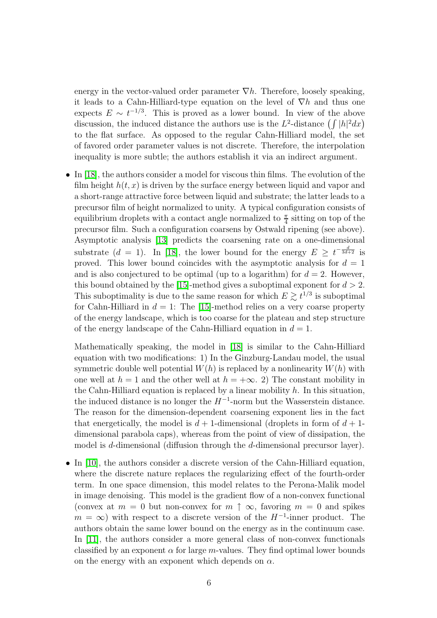energy in the vector-valued order parameter  $\nabla h$ . Therefore, loosely speaking, it leads to a Cahn-Hilliard-type equation on the level of  $\nabla h$  and thus one expects  $E \sim t^{-1/3}$ . This is proved as a lower bound. In view of the above discussion, the induced distance the authors use is the  $L^2$ -distance  $\left(\int |h|^2 dx\right)$ to the flat surface. As opposed to the regular Cahn-Hilliard model, the set of favored order parameter values is not discrete. Therefore, the interpolation inequality is more subtle; the authors establish it via an indirect argument.

• In [\[18\]](#page-26-8), the authors consider a model for viscous thin films. The evolution of the film height  $h(t, x)$  is driven by the surface energy between liquid and vapor and a short-range attractive force between liquid and substrate; the latter leads to a precursor film of height normalized to unity. A typical configuration consists of equilibrium droplets with a contact angle normalized to  $\frac{\pi}{4}$  sitting on top of the precursor film. Such a configuration coarsens by Ostwald ripening (see above). Asymptotic analysis [\[13\]](#page-26-9) predicts the coarsening rate on a one-dimensional substrate  $(d = 1)$ . In [\[18\]](#page-26-8), the lower bound for the energy  $E \ge t^{-\frac{d}{3d+2}}$  is proved. This lower bound coincides with the asymptotic analysis for  $d = 1$ and is also conjectured to be optimal (up to a logarithm) for  $d = 2$ . However, this bound obtained by the [\[15\]](#page-26-0)-method gives a suboptimal exponent for  $d > 2$ . This suboptimality is due to the same reason for which  $E \gtrsim t^{1/3}$  is suboptimal for Cahn-Hilliard in  $d = 1$ : The [\[15\]](#page-26-0)-method relies on a very coarse property of the energy landscape, which is too coarse for the plateau and step structure of the energy landscape of the Cahn-Hilliard equation in  $d = 1$ .

Mathematically speaking, the model in [\[18\]](#page-26-8) is similar to the Cahn-Hilliard equation with two modifications: 1) In the Ginzburg-Landau model, the usual symmetric double well potential  $W(h)$  is replaced by a nonlinearity  $W(h)$  with one well at  $h = 1$  and the other well at  $h = +\infty$ . 2) The constant mobility in the Cahn-Hilliard equation is replaced by a linear mobility  $h$ . In this situation, the induced distance is no longer the  $H^{-1}$ -norm but the Wasserstein distance. The reason for the dimension-dependent coarsening exponent lies in the fact that energetically, the model is  $d+1$ -dimensional (droplets in form of  $d+1$ dimensional parabola caps), whereas from the point of view of dissipation, the model is d-dimensional (diffusion through the d-dimensional precursor layer).

• In [\[10\]](#page-26-10), the authors consider a discrete version of the Cahn-Hilliard equation, where the discrete nature replaces the regularizing effect of the fourth-order term. In one space dimension, this model relates to the Perona-Malik model in image denoising. This model is the gradient flow of a non-convex functional (convex at  $m = 0$  but non-convex for  $m \uparrow \infty$ , favoring  $m = 0$  and spikes  $m = \infty$ ) with respect to a discrete version of the  $H^{-1}$ -inner product. The authors obtain the same lower bound on the energy as in the continuum case. In [\[11\]](#page-26-11), the authors consider a more general class of non-convex functionals classified by an exponent  $\alpha$  for large m-values. They find optimal lower bounds on the energy with an exponent which depends on  $\alpha$ .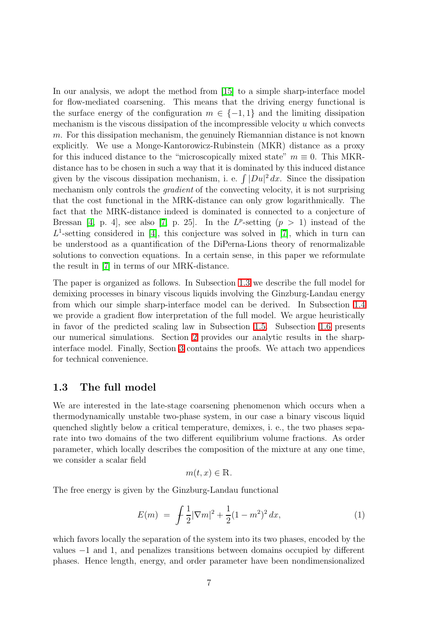In our analysis, we adopt the method from [\[15\]](#page-26-0) to a simple sharp-interface model for flow-mediated coarsening. This means that the driving energy functional is the surface energy of the configuration  $m \in \{-1,1\}$  and the limiting dissipation mechanism is the viscous dissipation of the incompressible velocity  $u$  which convects m. For this dissipation mechanism, the genuinely Riemannian distance is not known explicitly. We use a Monge-Kantorowicz-Rubinstein (MKR) distance as a proxy for this induced distance to the "microscopically mixed state"  $m \equiv 0$ . This MKRdistance has to be chosen in such a way that it is dominated by this induced distance given by the viscous dissipation mechanism, i. e.  $\int |Du|^2 dx$ . Since the dissipation mechanism only controls the gradient of the convecting velocity, it is not surprising that the cost functional in the MRK-distance can only grow logarithmically. The fact that the MRK-distance indeed is dominated is connected to a conjecture of Bressan [\[4,](#page-25-2) p. 4], see also [\[7,](#page-26-12) p. 25]. In the  $L^p$ -setting  $(p > 1)$  instead of the  $L^1$ -setting considered in [\[4\]](#page-25-2), this conjecture was solved in [\[7\]](#page-26-12), which in turn can be understood as a quantification of the DiPerna-Lions theory of renormalizable solutions to convection equations. In a certain sense, in this paper we reformulate the result in [\[7\]](#page-26-12) in terms of our MRK-distance.

The paper is organized as follows. In Subsection [1.3](#page-7-0) we describe the full model for demixing processes in binary viscous liquids involving the Ginzburg-Landau energy from which our simple sharp-interface model can be derived. In Subsection [1.4](#page-9-0) we provide a gradient flow interpretation of the full model. We argue heuristically in favor of the predicted scaling law in Subsection [1.5.](#page-10-0) Subsection [1.6](#page-12-0) presents our numerical simulations. Section [2](#page-14-0) provides our analytic results in the sharpinterface model. Finally, Section [3](#page-18-0) contains the proofs. We attach two appendices for technical convenience.

### <span id="page-7-0"></span>1.3 The full model

We are interested in the late-stage coarsening phenomenon which occurs when a thermodynamically unstable two-phase system, in our case a binary viscous liquid quenched slightly below a critical temperature, demixes, i. e., the two phases separate into two domains of the two different equilibrium volume fractions. As order parameter, which locally describes the composition of the mixture at any one time, we consider a scalar field

$$
m(t, x) \in \mathbb{R}.
$$

<span id="page-7-1"></span>The free energy is given by the Ginzburg-Landau functional

$$
E(m) = \int \frac{1}{2} |\nabla m|^2 + \frac{1}{2} (1 - m^2)^2 dx, \tag{1}
$$

which favors locally the separation of the system into its two phases, encoded by the values −1 and 1, and penalizes transitions between domains occupied by different phases. Hence length, energy, and order parameter have been nondimensionalized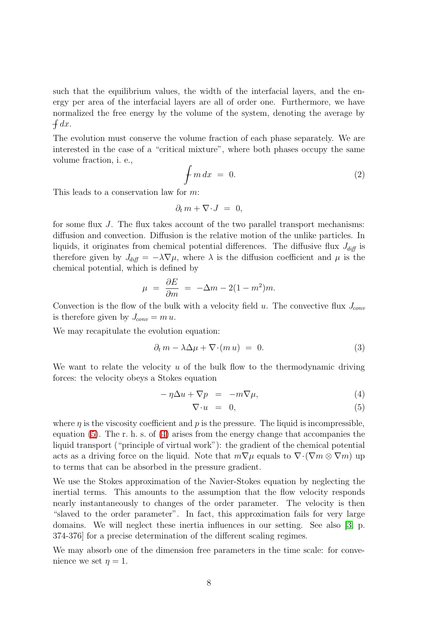such that the equilibrium values, the width of the interfacial layers, and the energy per area of the interfacial layers are all of order one. Furthermore, we have normalized the free energy by the volume of the system, denoting the average by  $\int dx$ .

The evolution must conserve the volume fraction of each phase separately. We are interested in the case of a "critical mixture", where both phases occupy the same volume fraction, i. e.,

<span id="page-8-2"></span>
$$
\int m \, dx = 0. \tag{2}
$$

This leads to a conservation law for m:

$$
\partial_t m + \nabla \cdot J = 0,
$$

for some flux J. The flux takes account of the two parallel transport mechanisms: diffusion and convection. Diffusion is the relative motion of the unlike particles. In liquids, it originates from chemical potential differences. The diffusive flux  $J_{diff}$  is therefore given by  $J_{diff} = -\lambda \nabla \mu$ , where  $\lambda$  is the diffusion coefficient and  $\mu$  is the chemical potential, which is defined by

$$
\mu = \frac{\partial E}{\partial m} = -\Delta m - 2(1 - m^2)m.
$$

Convection is the flow of the bulk with a velocity field u. The convective flux  $J_{conv}$ is therefore given by  $J_{conv} = m u$ .

<span id="page-8-1"></span>We may recapitulate the evolution equation:

$$
\partial_t m - \lambda \Delta \mu + \nabla \cdot (m u) = 0. \tag{3}
$$

We want to relate the velocity  $u$  of the bulk flow to the thermodynamic driving forces: the velocity obeys a Stokes equation

<span id="page-8-0"></span>
$$
-\eta \Delta u + \nabla p = -m \nabla \mu,\tag{4}
$$

$$
\nabla \cdot u = 0, \tag{5}
$$

where  $\eta$  is the viscosity coefficient and  $p$  is the pressure. The liquid is incompressible, equation [\(5\)](#page-8-0). The r. h. s. of [\(4\)](#page-8-0) arises from the energy change that accompanies the liquid transport ("principle of virtual work"): the gradient of the chemical potential acts as a driving force on the liquid. Note that  $m\nabla\mu$  equals to  $\nabla\cdot(\nabla m\otimes\nabla m)$  up to terms that can be absorbed in the pressure gradient.

We use the Stokes approximation of the Navier-Stokes equation by neglecting the inertial terms. This amounts to the assumption that the flow velocity responds nearly instantaneously to changes of the order parameter. The velocity is then "slaved to the order parameter". In fact, this approximation fails for very large domains. We will neglect these inertia influences in our setting. See also [\[3,](#page-25-0) p. 374-376] for a precise determination of the different scaling regimes.

We may absorb one of the dimension free parameters in the time scale: for convenience we set  $\eta = 1$ .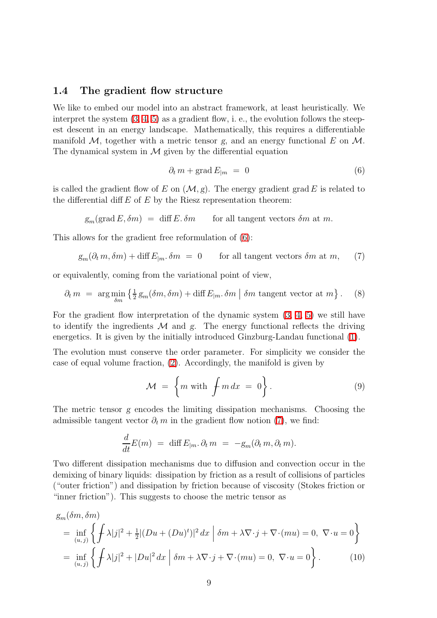#### <span id="page-9-0"></span>1.4 The gradient flow structure

We like to embed our model into an abstract framework, at least heuristically. We interpret the system  $(3, 4, 5)$  $(3, 4, 5)$  $(3, 4, 5)$  $(3, 4, 5)$  $(3, 4, 5)$  as a gradient flow, i. e., the evolution follows the steepest descent in an energy landscape. Mathematically, this requires a differentiable manifold  $M$ , together with a metric tensor g, and an energy functional E on  $M$ . The dynamical system in  $M$  given by the differential equation

<span id="page-9-1"></span>
$$
\partial_t m + \text{grad} E_{|m} = 0 \tag{6}
$$

is called the gradient flow of E on  $(M, g)$ . The energy gradient grad E is related to the differential diff  $E$  of  $E$  by the Riesz representation theorem:

 $g_m(\text{grad } E, \delta m) = \text{diff } E \cdot \delta m$  for all tangent vectors  $\delta m$  at m.

<span id="page-9-2"></span>This allows for the gradient free reformulation of [\(6\)](#page-9-1):

$$
g_m(\partial_t m, \delta m) + \text{diff } E_{|m} \cdot \delta m = 0
$$
 for all tangent vectors  $\delta m$  at  $m$ , (7)

<span id="page-9-3"></span>or equivalently, coming from the variational point of view,

$$
\partial_t m = \arg \min_{\delta m} \left\{ \frac{1}{2} g_m(\delta m, \delta m) + \text{diff } E_{|m} \cdot \delta m \mid \delta m \text{ tangent vector at } m \right\}. \tag{8}
$$

For the gradient flow interpretation of the dynamic system [\(3,](#page-8-1) [4,](#page-8-0) [5\)](#page-8-0) we still have to identify the ingredients  $\mathcal M$  and  $g$ . The energy functional reflects the driving energetics. It is given by the initially introduced Ginzburg-Landau functional [\(1\)](#page-7-1).

The evolution must conserve the order parameter. For simplicity we consider the case of equal volume fraction, [\(2\)](#page-8-2). Accordingly, the manifold is given by

$$
\mathcal{M} = \left\{ m \text{ with } \int m \, dx = 0 \right\}. \tag{9}
$$

The metric tensor g encodes the limiting dissipation mechanisms. Choosing the admissible tangent vector  $\partial_t m$  in the gradient flow notion [\(7\)](#page-9-2), we find:

$$
\frac{d}{dt}E(m) = \text{diff } E_{|m}.\,\partial_t m = -g_m(\partial_t m, \partial_t m).
$$

Two different dissipation mechanisms due to diffusion and convection occur in the demixing of binary liquids: dissipation by friction as a result of collisions of particles ("outer friction") and dissipation by friction because of viscosity (Stokes friction or "inner friction"). This suggests to choose the metric tensor as

<span id="page-9-4"></span>
$$
g_m(\delta m, \delta m)
$$
  
= 
$$
\inf_{(u,j)} \left\{ \int \lambda |j|^2 + \frac{1}{2} |(Du + (Du)^t)|^2 dx \mid \delta m + \lambda \nabla \cdot j + \nabla \cdot (mu) = 0, \ \nabla \cdot u = 0 \right\}
$$
  
= 
$$
\inf_{(u,j)} \left\{ \int \lambda |j|^2 + |Du|^2 dx \mid \delta m + \lambda \nabla \cdot j + \nabla \cdot (mu) = 0, \ \nabla \cdot u = 0 \right\}.
$$
 (10)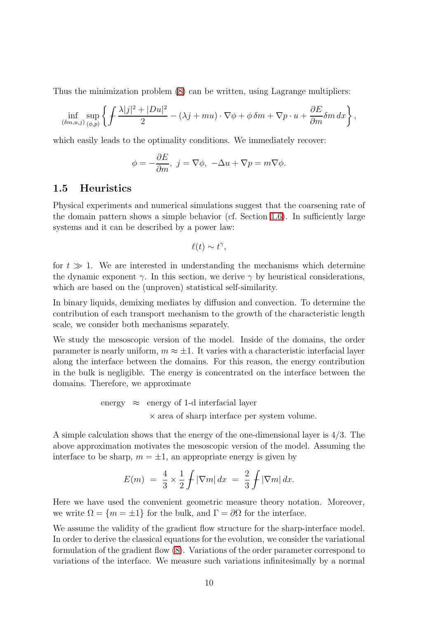Thus the minimization problem [\(8\)](#page-9-3) can be written, using Lagrange multipliers:

$$
\inf_{(\delta m,u,j)} \sup_{(\phi,p)} \left\{ \int \frac{\lambda|j|^2 + |Du|^2}{2} - (\lambda j + mu) \cdot \nabla \phi + \phi \, \delta m + \nabla p \cdot u + \frac{\partial E}{\partial m} \delta m \, dx \right\},\,
$$

which easily leads to the optimality conditions. We immediately recover:

$$
\phi = -\frac{\partial E}{\partial m}, \ j = \nabla \phi, \ -\Delta u + \nabla p = m \nabla \phi.
$$

### <span id="page-10-0"></span>1.5 Heuristics

Physical experiments and numerical simulations suggest that the coarsening rate of the domain pattern shows a simple behavior (cf. Section [1.6\)](#page-12-0). In sufficiently large systems and it can be described by a power law:

$$
\ell(t) \sim t^{\gamma},
$$

for  $t \gg 1$ . We are interested in understanding the mechanisms which determine the dynamic exponent  $\gamma$ . In this section, we derive  $\gamma$  by heuristical considerations, which are based on the (unproven) statistical self-similarity.

In binary liquids, demixing mediates by diffusion and convection. To determine the contribution of each transport mechanism to the growth of the characteristic length scale, we consider both mechanisms separately.

We study the mesoscopic version of the model. Inside of the domains, the order parameter is nearly uniform,  $m \approx \pm 1$ . It varies with a characteristic interfacial layer along the interface between the domains. For this reason, the energy contribution in the bulk is negligible. The energy is concentrated on the interface between the domains. Therefore, we approximate

> energy  $\approx$  energy of 1-d interfacial layer × area of sharp interface per system volume.

A simple calculation shows that the energy of the one-dimensional layer is 4/3. The above approximation motivates the mesoscopic version of the model. Assuming the interface to be sharp,  $m = \pm 1$ , an appropriate energy is given by

$$
E(m) = \frac{4}{3} \times \frac{1}{2} \int |\nabla m| \, dx = \frac{2}{3} \int |\nabla m| \, dx.
$$

Here we have used the convenient geometric measure theory notation. Moreover, we write  $\Omega = \{m = \pm 1\}$  for the bulk, and  $\Gamma = \partial\Omega$  for the interface.

We assume the validity of the gradient flow structure for the sharp-interface model. In order to derive the classical equations for the evolution, we consider the variational formulation of the gradient flow [\(8\)](#page-9-3). Variations of the order parameter correspond to variations of the interface. We measure such variations infinitesimally by a normal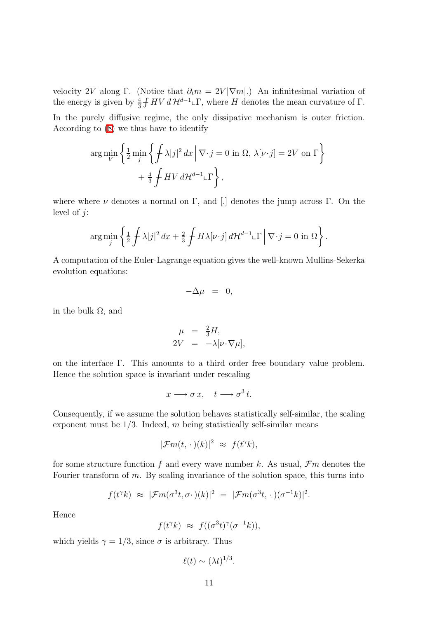velocity 2V along Γ. (Notice that  $\partial_t m = 2V |\nabla m|$ .) An infinitesimal variation of the energy is given by  $\frac{4}{3}$  $\frac{4}{3}$  f HV  $d \mathcal{H}^{d-1}$ <sub>L</sub> $\Gamma$ , where H denotes the mean curvature of  $\Gamma$ .

In the purely diffusive regime, the only dissipative mechanism is outer friction. According to [\(8\)](#page-9-3) we thus have to identify

$$
\arg\min_{V} \left\{ \frac{1}{2} \min_{j} \left\{ \frac{1}{f} \lambda |j|^2 dx \, \middle| \, \nabla \cdot j = 0 \text{ in } \Omega, \, \lambda[\nu \cdot j] = 2V \text{ on } \Gamma \right\} \right\}
$$
\n
$$
+ \frac{4}{3} \int HV \, d\mathcal{H}^{d-1} \llcorner \Gamma \right\},
$$

where where  $\nu$  denotes a normal on Γ, and [.] denotes the jump across Γ. On the level of  $i$ :

$$
\arg\min_{j} \left\{ \frac{1}{2} \int \lambda |j|^2 \, dx + \frac{2}{3} \int H \lambda[\nu \cdot j] \, d\mathcal{H}^{d-1} \llcorner \Gamma \, \Big| \, \nabla \cdot j = 0 \text{ in } \Omega \right\}.
$$

A computation of the Euler-Lagrange equation gives the well-known Mullins-Sekerka evolution equations:

$$
-\Delta \mu = 0,
$$

in the bulk  $Ω$ , and

$$
\mu = \frac{2}{3}H,
$$
  
\n
$$
2V = -\lambda[\nu \cdot \nabla \mu],
$$

on the interface Γ. This amounts to a third order free boundary value problem. Hence the solution space is invariant under rescaling

$$
x \longrightarrow \sigma x, \quad t \longrightarrow \sigma^3 t.
$$

Consequently, if we assume the solution behaves statistically self-similar, the scaling exponent must be  $1/3$ . Indeed, m being statistically self-similar means

$$
|\mathcal{F}m(t,\,\cdot\,)(k)|^2 \,\,\approx\,\,f(t^{\gamma}k),
$$

for some structure function f and every wave number k. As usual,  $\mathcal{F}m$  denotes the Fourier transform of m. By scaling invariance of the solution space, this turns into

$$
f(t^{\gamma}k) \approx |\mathcal{F}m(\sigma^3t, \sigma \cdot)(k)|^2 = |\mathcal{F}m(\sigma^3t, \cdot)(\sigma^{-1}k)|^2.
$$

Hence

 $f(t^{\gamma}k) \approx f((\sigma^3 t)^{\gamma}(\sigma^{-1}k)),$ 

which yields  $\gamma = 1/3$ , since  $\sigma$  is arbitrary. Thus

$$
\ell(t) \sim (\lambda t)^{1/3}.
$$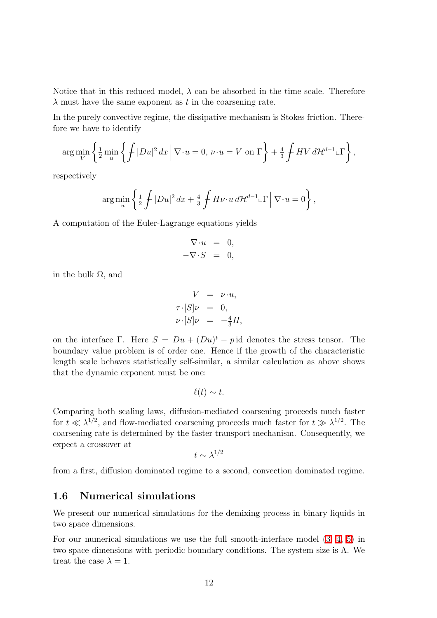Notice that in this reduced model,  $\lambda$  can be absorbed in the time scale. Therefore  $\lambda$  must have the same exponent as t in the coarsening rate.

In the purely convective regime, the dissipative mechanism is Stokes friction. Therefore we have to identify

$$
\arg\min_{V} \left\{ \frac{1}{2} \min_{u} \left\{ \int |Du|^2 \, dx \, \Big| \, \nabla \cdot u = 0, \, \nu \cdot u = V \text{ on } \Gamma \right\} + \frac{4}{3} \int HV \, d\mathcal{H}^{d-1} \llcorner \Gamma \right\},\
$$

respectively

$$
\arg\min_{u} \left\{ \frac{1}{2} \int |Du|^2 \, dx + \frac{4}{3} \int H\nu \cdot u \, d\mathcal{H}^{d-1} \llcorner \Gamma \middle| \nabla \cdot u = 0 \right\},\,
$$

A computation of the Euler-Lagrange equations yields

$$
\nabla \cdot u = 0, \n-\nabla \cdot S = 0,
$$

in the bulk  $\Omega$ , and

$$
V = \nu \cdot u,
$$
  
\n
$$
\tau \cdot [S] \nu = 0,
$$
  
\n
$$
\nu \cdot [S] \nu = -\frac{4}{3} H,
$$

on the interface  $\Gamma$ . Here  $S = Du + (Du)^t - p$  id denotes the stress tensor. The boundary value problem is of order one. Hence if the growth of the characteristic length scale behaves statistically self-similar, a similar calculation as above shows that the dynamic exponent must be one:

$$
\ell(t) \sim t.
$$

Comparing both scaling laws, diffusion-mediated coarsening proceeds much faster for  $t \ll \lambda^{1/2}$ , and flow-mediated coarsening proceeds much faster for  $t \gg \lambda^{1/2}$ . The coarsening rate is determined by the faster transport mechanism. Consequently, we expect a crossover at

$$
t \sim \lambda^{1/2}
$$

<span id="page-12-0"></span>from a first, diffusion dominated regime to a second, convection dominated regime.

## 1.6 Numerical simulations

We present our numerical simulations for the demixing process in binary liquids in two space dimensions.

For our numerical simulations we use the full smooth-interface model [\(3,](#page-8-1) [4,](#page-8-0) [5\)](#page-8-0) in two space dimensions with periodic boundary conditions. The system size is  $\Lambda$ . We treat the case  $\lambda = 1$ .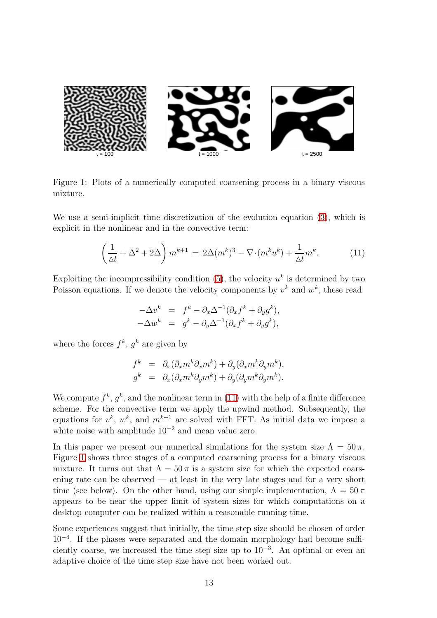

Figure 1: Plots of a numerically computed coarsening process in a binary viscous mixture.

<span id="page-13-1"></span><span id="page-13-0"></span>We use a semi-implicit time discretization of the evolution equation [\(3\)](#page-8-1), which is explicit in the nonlinear and in the convective term:

$$
\left(\frac{1}{\Delta t} + \Delta^2 + 2\Delta\right)m^{k+1} = 2\Delta(m^k)^3 - \nabla \cdot (m^k u^k) + \frac{1}{\Delta t}m^k.
$$
 (11)

Exploiting the incompressibility condition  $(5)$ , the velocity  $u<sup>k</sup>$  is determined by two Poisson equations. If we denote the velocity components by  $v^k$  and  $w^k$ , these read

$$
-\Delta v^k = f^k - \partial_x \Delta^{-1} (\partial_x f^k + \partial_y g^k),
$$
  

$$
-\Delta w^k = g^k - \partial_y \Delta^{-1} (\partial_x f^k + \partial_y g^k),
$$

where the forces  $f^k$ ,  $g^k$  are given by

$$
f^{k} = \partial_x(\partial_x m^k \partial_x m^k) + \partial_y(\partial_x m^k \partial_y m^k),
$$
  
\n
$$
g^{k} = \partial_x(\partial_x m^k \partial_y m^k) + \partial_y(\partial_y m^k \partial_y m^k).
$$

We compute  $f^k, g^k$ , and the nonlinear term in [\(11\)](#page-13-0) with the help of a finite difference scheme. For the convective term we apply the upwind method. Subsequently, the equations for  $v^k$ ,  $w^k$ , and  $m^{k+1}$  are solved with FFT. As initial data we impose a white noise with amplitude  $10^{-2}$  and mean value zero.

In this paper we present our numerical simulations for the system size  $\Lambda = 50 \pi$ . Figure [1](#page-13-1) shows three stages of a computed coarsening process for a binary viscous mixture. It turns out that  $\Lambda = 50 \pi$  is a system size for which the expected coarsening rate can be observed — at least in the very late stages and for a very short time (see below). On the other hand, using our simple implementation,  $\Lambda = 50 \pi$ appears to be near the upper limit of system sizes for which computations on a desktop computer can be realized within a reasonable running time.

Some experiences suggest that initially, the time step size should be chosen of order 10<sup>−</sup><sup>4</sup> . If the phases were separated and the domain morphology had become sufficiently coarse, we increased the time step size up to  $10^{-3}$ . An optimal or even an adaptive choice of the time step size have not been worked out.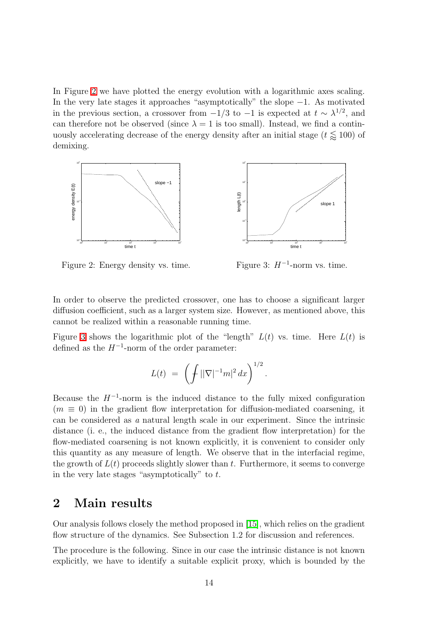In Figure [2](#page-14-1) we have plotted the energy evolution with a logarithmic axes scaling. In the very late stages it approaches "asymptotically" the slope −1. As motivated in the previous section, a crossover from  $-1/3$  to  $-1$  is expected at  $t \sim \lambda^{1/2}$ , and can therefore not be observed (since  $\lambda = 1$  is too small). Instead, we find a continuously accelerating decrease of the energy density after an initial stage ( $t \leq 100$ ) of demixing.



<span id="page-14-1"></span>Figure 2: Energy density vs. time.

<span id="page-14-2"></span>Figure 3:  $H^{-1}$ -norm vs. time.

In order to observe the predicted crossover, one has to choose a significant larger diffusion coefficient, such as a larger system size. However, as mentioned above, this cannot be realized within a reasonable running time.

Figure [3](#page-14-2) shows the logarithmic plot of the "length"  $L(t)$  vs. time. Here  $L(t)$  is defined as the  $H^{-1}$ -norm of the order parameter:

$$
L(t) = \left( \int ||\nabla|^{-1} m|^2 dx \right)^{1/2}.
$$

Because the  $H^{-1}$ -norm is the induced distance to the fully mixed configuration  $(m \equiv 0)$  in the gradient flow interpretation for diffusion-mediated coarsening, it can be considered as a natural length scale in our experiment. Since the intrinsic distance (i. e., the induced distance from the gradient flow interpretation) for the flow-mediated coarsening is not known explicitly, it is convenient to consider only this quantity as any measure of length. We observe that in the interfacial regime, the growth of  $L(t)$  proceeds slightly slower than t. Furthermore, it seems to converge in the very late stages "asymptotically" to  $t$ .

## <span id="page-14-0"></span>2 Main results

Our analysis follows closely the method proposed in [\[15\]](#page-26-0), which relies on the gradient flow structure of the dynamics. See Subsection 1.2 for discussion and references.

The procedure is the following. Since in our case the intrinsic distance is not known explicitly, we have to identify a suitable explicit proxy, which is bounded by the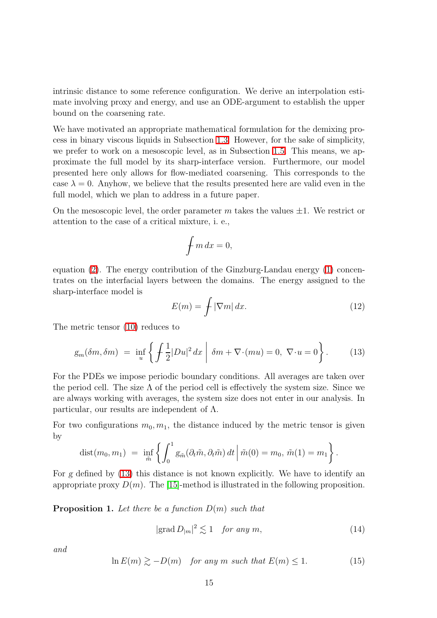intrinsic distance to some reference configuration. We derive an interpolation estimate involving proxy and energy, and use an ODE-argument to establish the upper bound on the coarsening rate.

We have motivated an appropriate mathematical formulation for the demixing process in binary viscous liquids in Subsection [1.3.](#page-7-0) However, for the sake of simplicity, we prefer to work on a mesoscopic level, as in Subsection [1.5.](#page-10-0) This means, we approximate the full model by its sharp-interface version. Furthermore, our model presented here only allows for flow-mediated coarsening. This corresponds to the case  $\lambda = 0$ . Anyhow, we believe that the results presented here are valid even in the full model, which we plan to address in a future paper.

On the mesoscopic level, the order parameter m takes the values  $\pm 1$ . We restrict or attention to the case of a critical mixture, i. e.,

$$
\int m\,dx=0,
$$

equation [\(2\)](#page-8-2). The energy contribution of the Ginzburg-Landau energy [\(1\)](#page-7-1) concentrates on the interfacial layers between the domains. The energy assigned to the sharp-interface model is

$$
E(m) = \int |\nabla m| \, dx. \tag{12}
$$

<span id="page-15-0"></span>The metric tensor [\(10\)](#page-9-4) reduces to

$$
g_m(\delta m, \delta m) = \inf_u \left\{ \int \frac{1}{2} |Du|^2 dx \mid \delta m + \nabla \cdot (mu) = 0, \ \nabla \cdot u = 0 \right\}.
$$
 (13)

For the PDEs we impose periodic boundary conditions. All averages are taken over the period cell. The size  $\Lambda$  of the period cell is effectively the system size. Since we are always working with averages, the system size does not enter in our analysis. In particular, our results are independent of  $\Lambda$ .

For two configurations  $m_0, m_1$ , the distance induced by the metric tensor is given by

dist
$$
(m_0, m_1)
$$
 = inf  $\left\{ \int_0^1 g_{\tilde{m}}(\partial_t \tilde{m}, \partial_t \tilde{m}) dt \middle| \tilde{m}(0) = m_0, \tilde{m}(1) = m_1 \right\}.$ 

For g defined by [\(13\)](#page-15-0) this distance is not known explicitly. We have to identify an appropriate proxy  $D(m)$ . The [\[15\]](#page-26-0)-method is illustrated in the following proposition.

**Proposition 1.** Let there be a function  $D(m)$  such that

$$
|\text{grad } D_{|m}|^2 \lesssim 1 \quad \text{for any } m,\tag{14}
$$

<span id="page-15-2"></span>and

<span id="page-15-1"></span>
$$
\ln E(m) \gtrsim -D(m) \quad \text{for any } m \text{ such that } E(m) \le 1. \tag{15}
$$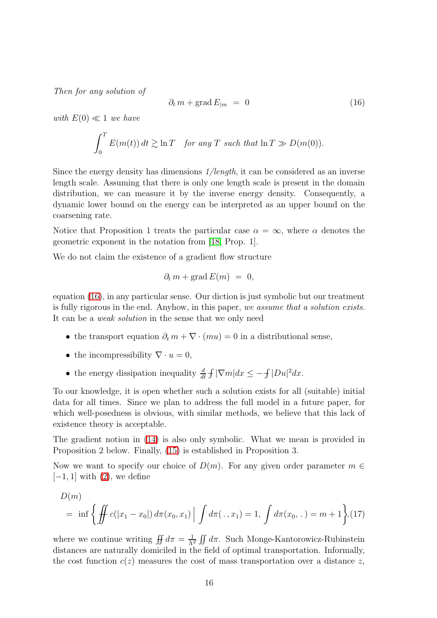Then for any solution of

$$
\partial_t m + \text{grad} E_{|m} = 0 \tag{16}
$$

with  $E(0) \ll 1$  we have

<span id="page-16-0"></span>
$$
\int_0^T E(m(t)) dt \gtrsim \ln T \quad \text{for any } T \text{ such that } \ln T \gg D(m(0)).
$$

Since the energy density has dimensions  $1/length$ , it can be considered as an inverse length scale. Assuming that there is only one length scale is present in the domain distribution, we can measure it by the inverse energy density. Consequently, a dynamic lower bound on the energy can be interpreted as an upper bound on the coarsening rate.

Notice that Proposition 1 treats the particular case  $\alpha = \infty$ , where  $\alpha$  denotes the geometric exponent in the notation from [\[18,](#page-26-8) Prop. 1].

We do not claim the existence of a gradient flow structure

$$
\partial_t m + \operatorname{grad} E(m) = 0,
$$

equation [\(16\)](#page-16-0), in any particular sense. Our diction is just symbolic but our treatment is fully rigorous in the end. Anyhow, in this paper, we assume that a solution exists. It can be a weak solution in the sense that we only need

- the transport equation  $\partial_t m + \nabla \cdot (mu) = 0$  in a distributional sense,
- the incompressibility  $\nabla \cdot u = 0$ ,
- the energy dissipation inequality  $\frac{d}{dt}$  $\frac{d}{dt} \int |\nabla m| dx \leq -\int |Du|^2 dx.$

To our knowledge, it is open whether such a solution exists for all (suitable) initial data for all times. Since we plan to address the full model in a future paper, for which well-posedness is obvious, with similar methods, we believe that this lack of existence theory is acceptable.

The gradient notion in [\(14\)](#page-15-1) is also only symbolic. What we mean is provided in Proposition 2 below. Finally, [\(15\)](#page-15-2) is established in Proposition 3.

Now we want to specify our choice of  $D(m)$ . For any given order parameter  $m \in$  $[-1, 1]$  with  $(2)$ , we define

$$
D(m) = \inf \left\{ \iint c(|x_1 - x_0|) d\pi(x_0, x_1) \middle| \int d\pi(\cdot, x_1) = 1, \int d\pi(x_0, \cdot) = m + 1 \right\}, (17)
$$

where we continue writing  $\iint d\pi = \frac{1}{\Lambda^d} \iint d\pi$ . Such Monge-Kantorowicz-Rubinstein distances are naturally domiciled in the field of optimal transportation. Informally, the cost function  $c(z)$  measures the cost of mass transportation over a distance z,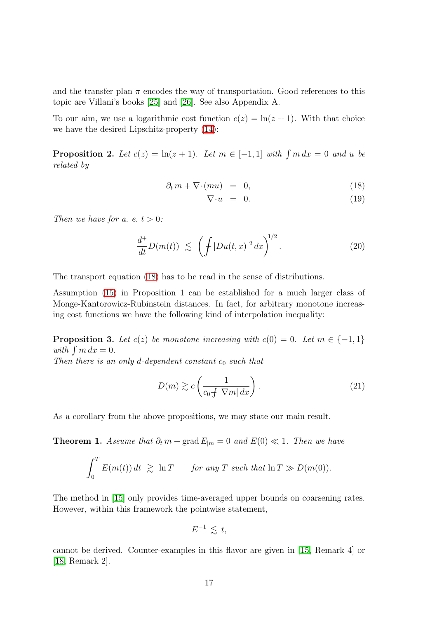and the transfer plan  $\pi$  encodes the way of transportation. Good references to this topic are Villani's books [\[25\]](#page-27-7) and [\[26\]](#page-27-8). See also Appendix A.

To our aim, we use a logarithmic cost function  $c(z) = \ln(z + 1)$ . With that choice we have the desired Lipschitz-property [\(14\)](#page-15-1):

**Proposition 2.** Let  $c(z) = \ln(z+1)$ . Let  $m \in [-1,1]$  with  $\int m dx = 0$  and u be related by

<span id="page-17-0"></span>
$$
\partial_t m + \nabla \cdot (mu) = 0, \tag{18}
$$

$$
\nabla \cdot u = 0. \tag{19}
$$

<span id="page-17-1"></span>Then we have for a. e.  $t > 0$ :

$$
\frac{d^+}{dt}D(m(t)) \lesssim \left(\int |Du(t,x)|^2 dx\right)^{1/2}.
$$
\n(20)

The transport equation [\(18\)](#page-17-0) has to be read in the sense of distributions.

Assumption [\(15\)](#page-15-2) in Proposition 1 can be established for a much larger class of Monge-Kantorowicz-Rubinstein distances. In fact, for arbitrary monotone increasing cost functions we have the following kind of interpolation inequality:

**Proposition 3.** Let  $c(z)$  be monotone increasing with  $c(0) = 0$ . Let  $m \in \{-1, 1\}$ with  $\int m dx = 0$ . Then there is an only d-dependent constant  $c_0$  such that

<span id="page-17-2"></span>

$$
D(m) \gtrsim c \left( \frac{1}{c_0 f |\nabla m| dx} \right). \tag{21}
$$

As a corollary from the above propositions, we may state our main result.

**Theorem 1.** Assume that  $\partial_t m + \text{grad } E_{|m} = 0$  and  $E(0) \ll 1$ . Then we have

$$
\int_0^T E(m(t)) dt \ge \ln T \quad \text{for any } T \text{ such that } \ln T \gg D(m(0)).
$$

The method in [\[15\]](#page-26-0) only provides time-averaged upper bounds on coarsening rates. However, within this framework the pointwise statement,

$$
E^{-1} \,\lesssim\, t,
$$

cannot be derived. Counter-examples in this flavor are given in [\[15,](#page-26-0) Remark 4] or [\[18,](#page-26-8) Remark 2].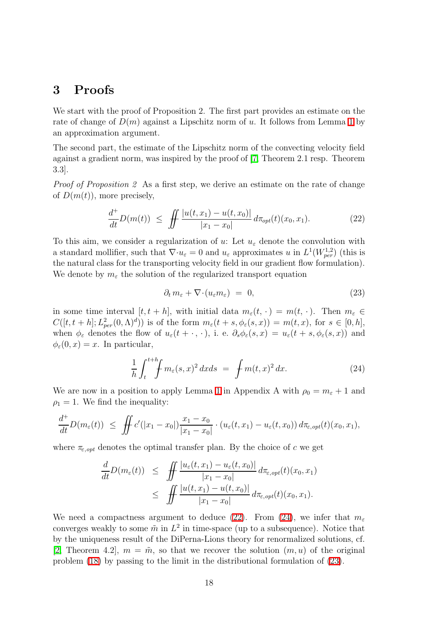## <span id="page-18-0"></span>3 Proofs

We start with the proof of Proposition 2. The first part provides an estimate on the rate of change of  $D(m)$  against a Lipschitz norm of u. It follows from Lemma [1](#page-23-0) by an approximation argument.

The second part, the estimate of the Lipschitz norm of the convecting velocity field against a gradient norm, was inspired by the proof of [\[7,](#page-26-12) Theorem 2.1 resp. Theorem 3.3].

<span id="page-18-1"></span>Proof of Proposition 2 As a first step, we derive an estimate on the rate of change of  $D(m(t))$ , more precisely,

$$
\frac{d^+}{dt}D(m(t)) \le \iint \frac{|u(t, x_1) - u(t, x_0)|}{|x_1 - x_0|} d\pi_{opt}(t)(x_0, x_1). \tag{22}
$$

To this aim, we consider a regularization of u: Let  $u_{\varepsilon}$  denote the convolution with a standard mollifier, such that  $\nabla \cdot u_{\varepsilon} = 0$  and  $u_{\varepsilon}$  approximates u in  $L^1(W^{1,2}_{per})$  (this is the natural class for the transporting velocity field in our gradient flow formulation). We denote by  $m_{\varepsilon}$  the solution of the regularized transport equation

<span id="page-18-3"></span>
$$
\partial_t m_{\varepsilon} + \nabla \cdot (u_{\varepsilon} m_{\varepsilon}) = 0, \tag{23}
$$

in some time interval  $[t, t + h]$ , with initial data  $m_{\varepsilon}(t, \cdot) = m(t, \cdot)$ . Then  $m_{\varepsilon} \in$  $C([t, t+h]; L^2_{per}(0, \Lambda)^d))$  is of the form  $m_\varepsilon(t+s, \phi_\varepsilon(s,x)) = m(t,x)$ , for  $s \in [0,h],$ when  $\phi_{\varepsilon}$  denotes the flow of  $u_{\varepsilon}(t + \cdot, \cdot)$ , i. e.  $\partial_s \phi_{\varepsilon}(s, x) = u_{\varepsilon}(t + s, \phi_{\varepsilon}(s, x))$  and  $\phi_{\varepsilon}(0, x) = x$ . In particular,

$$
\frac{1}{h} \int_{t}^{t+h} \int m_{\varepsilon}(s,x)^{2} dx ds = \int m(t,x)^{2} dx.
$$
 (24)

<span id="page-18-2"></span>We are now in a position to apply Lemma [1](#page-23-0) in Appendix A with  $\rho_0 = m_{\varepsilon} + 1$  and  $\rho_1 = 1$ . We find the inequality:

$$
\frac{d^+}{dt}D(m_{\varepsilon}(t)) \ \leq \ \iint c'(|x_1-x_0|) \frac{x_1-x_0}{|x_1-x_0|} \cdot (u_{\varepsilon}(t,x_1)-u_{\varepsilon}(t,x_0)) \, d\pi_{\varepsilon, opt}(t)(x_0,x_1),
$$

where  $\pi_{\varepsilon, opt}$  denotes the optimal transfer plan. By the choice of c we get

$$
\frac{d}{dt}D(m_{\varepsilon}(t)) \leq \iint \frac{|u_{\varepsilon}(t,x_1) - u_{\varepsilon}(t,x_0)|}{|x_1 - x_0|} d\pi_{\varepsilon, opt}(t)(x_0, x_1) \n\leq \iint \frac{|u(t,x_1) - u(t,x_0)|}{|x_1 - x_0|} d\pi_{\varepsilon, opt}(t)(x_0, x_1).
$$

We need a compactness argument to deduce [\(22\)](#page-18-1). From [\(24\)](#page-18-2), we infer that  $m_{\varepsilon}$ converges weakly to some  $\tilde{m}$  in  $L^2$  in time-space (up to a subsequence). Notice that by the uniqueness result of the DiPerna-Lions theory for renormalized solutions, cf. [\[2,](#page-25-3) Theorem 4.2],  $m = \tilde{m}$ , so that we recover the solution  $(m, u)$  of the original problem [\(18\)](#page-17-0) by passing to the limit in the distributional formulation of [\(23\)](#page-18-3).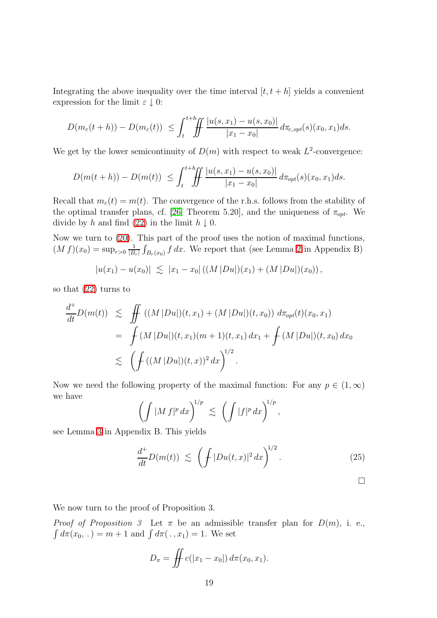Integrating the above inequality over the time interval  $[t, t + h]$  yields a convenient expression for the limit  $\varepsilon \downarrow 0$ :

$$
D(m_{\varepsilon}(t+h)) - D(m_{\varepsilon}(t)) \leq \int_{t}^{t+h} \int_{t} \frac{|u(s,x_1) - u(s,x_0)|}{|x_1 - x_0|} d\pi_{\varepsilon, opt}(s)(x_0, x_1) ds.
$$

We get by the lower semicontinuity of  $D(m)$  with respect to weak  $L^2$ -convergence:

$$
D(m(t+h)) - D(m(t)) \leq \int_{t}^{t+h} \int_{t} \frac{|u(s,x_1) - u(s,x_0)|}{|x_1 - x_0|} d\pi_{opt}(s)(x_0,x_1) ds.
$$

Recall that  $m_{\varepsilon}(t) = m(t)$ . The convergence of the r.h.s. follows from the stability of the optimal transfer plans, cf. [\[26,](#page-27-8) Theorem 5.20], and the uniqueness of  $\pi_{opt}$ . We divide by h and find [\(22\)](#page-18-1) in the limit  $h \downarrow 0$ .

Now we turn to [\(20\)](#page-17-1). This part of the proof uses the notion of maximal functions,  $(M f)(x_0) = \sup_{r>0} \frac{1}{|B|}$  $\frac{1}{|B_r|}\int_{B_r(x_0)} f\,dx$ . We report that (see Lemma [2](#page-24-0) in Appendix B)

$$
|u(x_1)-u(x_0)| \leq |x_1-x_0| ((M|Du|)(x_1)+(M|Du|)(x_0)),
$$

so that [\(22\)](#page-18-1) turns to

$$
\frac{d^+}{dt}D(m(t)) \leq \iint \left( (M|Du|)(t,x_1) + (M|Du|)(t,x_0) \right) d\pi_{opt}(t)(x_0,x_1)
$$
\n
$$
= \int (M|Du|)(t,x_1)(m+1)(t,x_1) dx_1 + \int (M|Du|)(t,x_0) dx_0
$$
\n
$$
\leq \left( \int \left( (M|Du|)(t,x) \right)^2 dx \right)^{1/2}.
$$

Now we need the following property of the maximal function: For any  $p \in (1,\infty)$ we have

$$
\left(\int |M f|^p dx\right)^{1/p} \lesssim \left(\int |f|^p dx\right)^{1/p},
$$

see Lemma [3](#page-24-1) in Appendix B. This yields

$$
\frac{d^+}{dt}D(m(t)) \lesssim \left(\int |Du(t,x)|^2 dx\right)^{1/2}.\tag{25}
$$

We now turn to the proof of Proposition 3.

*Proof of Proposition 3* Let  $\pi$  be an admissible transfer plan for  $D(m)$ , i. e.,  $\int d\pi(x_0, .) = m + 1$  and  $\int d\pi( ., x_1) = 1$ . We set

$$
D_{\pi} = \iint c(|x_1 - x_0|) d\pi(x_0, x_1).
$$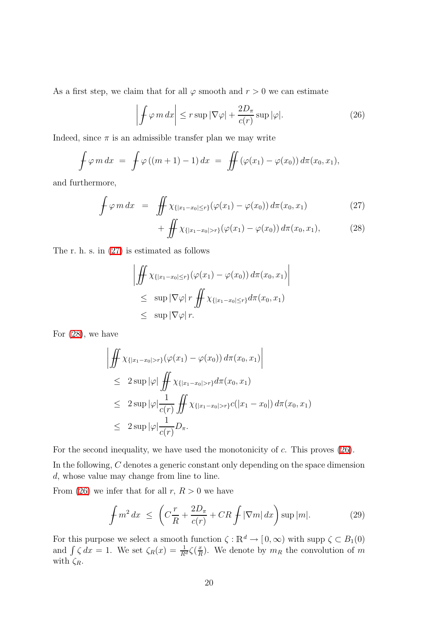<span id="page-20-1"></span>As a first step, we claim that for all  $\varphi$  smooth and  $r > 0$  we can estimate

$$
\left| \int \varphi \, m \, dx \right| \le r \sup |\nabla \varphi| + \frac{2D_{\pi}}{c(r)} \sup |\varphi|.
$$
 (26)

Indeed, since  $\pi$  is an admissible transfer plan we may write

$$
\oint \varphi m dx = \oint \varphi ((m+1) - 1) dx = \oiint (\varphi(x_1) - \varphi(x_0)) d\pi(x_0, x_1),
$$

<span id="page-20-0"></span>and furthermore,

$$
\oint \varphi \, m \, dx = \iint \chi_{\{|x_1 - x_0| \le r\}}(\varphi(x_1) - \varphi(x_0)) \, d\pi(x_0, x_1) \tag{27}
$$

$$
+\iint \chi_{\{|x_1-x_0|>r\}}(\varphi(x_1)-\varphi(x_0)) d\pi(x_0,x_1),\tag{28}
$$

The r. h. s. in [\(27\)](#page-20-0) is estimated as follows

$$
\left| \iint \chi_{\{|x_1 - x_0| \le r\}}(\varphi(x_1) - \varphi(x_0)) d\pi(x_0, x_1) \right|
$$
  
\n
$$
\le \sup |\nabla \varphi| r \iint \chi_{\{|x_1 - x_0| \le r\}} d\pi(x_0, x_1)
$$
  
\n
$$
\le \sup |\nabla \varphi| r.
$$

For [\(28\)](#page-20-0), we have

$$
\left| \iint \chi_{\{|x_1 - x_0| > r\}}(\varphi(x_1) - \varphi(x_0)) d\pi(x_0, x_1) \right|
$$
  
\n
$$
\leq 2 \sup |\varphi| \iint \chi_{\{|x_1 - x_0| > r\}} d\pi(x_0, x_1)
$$
  
\n
$$
\leq 2 \sup |\varphi| \frac{1}{c(r)} \iint \chi_{\{|x_1 - x_0| > r\}} c(|x_1 - x_0|) d\pi(x_0, x_1)
$$
  
\n
$$
\leq 2 \sup |\varphi| \frac{1}{c(r)} D_{\pi}.
$$

For the second inequality, we have used the monotonicity of c. This proves [\(26\)](#page-20-1). In the following, C denotes a generic constant only depending on the space dimension d, whose value may change from line to line.

<span id="page-20-2"></span>From [\(26\)](#page-20-1) we infer that for all  $r, R > 0$  we have

$$
\int m^2 dx \le \left( C \frac{r}{R} + \frac{2D_\pi}{c(r)} + CR \int |\nabla m| dx \right) \sup |m|.
$$
 (29)

For this purpose we select a smooth function  $\zeta : \mathbb{R}^d \to [0, \infty)$  with supp  $\zeta \subset B_1(0)$ and  $\int \zeta dx = 1$ . We set  $\zeta_R(x) = \frac{1}{R^d} \zeta(\frac{x}{R})$  $\frac{x}{R}$ ). We denote by  $m_R$  the convolution of m with  $\zeta_R$ .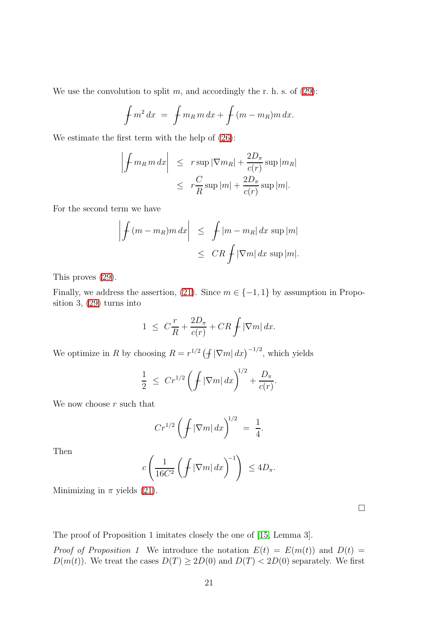We use the convolution to split  $m$ , and accordingly the r. h. s. of  $(29)$ :

$$
\int m^2 dx = \int m_R m dx + \int (m - m_R) m dx.
$$

We estimate the first term with the help of [\(26\)](#page-20-1):

$$
\left| \int m_R m \, dx \right| \leq r \sup |\nabla m_R| + \frac{2D_\pi}{c(r)} \sup |m_R|
$$
  

$$
\leq r \frac{C}{R} \sup |m| + \frac{2D_\pi}{c(r)} \sup |m|.
$$

For the second term we have

$$
\left| \int (m - m_R) m \, dx \right| \leq \int |m - m_R| \, dx \, \sup |m|
$$
  

$$
\leq C R \int |\nabla m| \, dx \, \sup |m|.
$$

This proves [\(29\)](#page-20-2).

Finally, we address the assertion, [\(21\)](#page-17-2). Since  $m \in \{-1, 1\}$  by assumption in Proposition 3, [\(29\)](#page-20-2) turns into

$$
1 \ \leq \ C\frac{r}{R} + \frac{2D_{\pi}}{c(r)} + CR \int |\nabla m| \, dx.
$$

We optimize in R by choosing  $R = r^{1/2} (\int |\nabla m| dx)^{-1/2}$ , which yields

$$
\frac{1}{2} \ \leq \ Cr^{1/2} \left( \int |\nabla m| \, dx \right)^{1/2} + \frac{D_{\pi}}{c(r)}.
$$

We now choose  $r$  such that

$$
Cr^{1/2}\left(\int |\nabla m| \, dx\right)^{1/2} \ = \ \frac{1}{4}.
$$

Then

$$
c\left(\frac{1}{16C^2}\left(\int |\nabla m| \, dx\right)^{-1}\right) \le 4D_\pi.
$$

Minimizing in  $\pi$  yields [\(21\)](#page-17-2).

 $\Box$ 

The proof of Proposition 1 imitates closely the one of [\[15,](#page-26-0) Lemma 3].

*Proof of Proposition 1* We introduce the notation  $E(t) = E(m(t))$  and  $D(t) =$  $D(m(t))$ . We treat the cases  $D(T) \ge 2D(0)$  and  $D(T) < 2D(0)$  separately. We first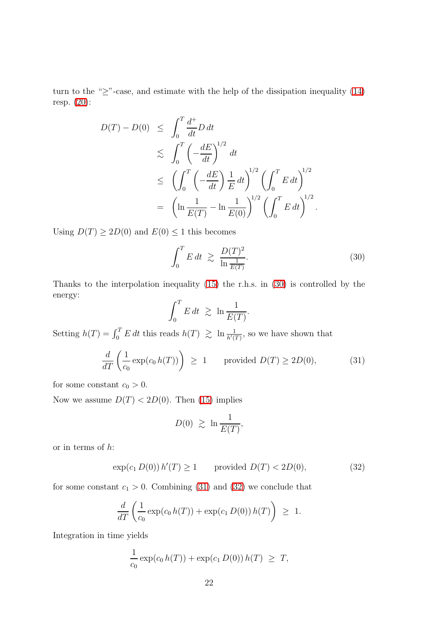turn to the " $\geq$ "-case, and estimate with the help of the dissipation inequality [\(14\)](#page-15-1) resp. [\(20\)](#page-17-1):

$$
D(T) - D(0) \leq \int_0^T \frac{d^+}{dt} D dt
$$
  
\n
$$
\leq \int_0^T \left( -\frac{dE}{dt} \right)^{1/2} dt
$$
  
\n
$$
\leq \left( \int_0^T \left( -\frac{dE}{dt} \right) \frac{1}{E} dt \right)^{1/2} \left( \int_0^T E dt \right)^{1/2}
$$
  
\n
$$
= \left( \ln \frac{1}{E(T)} - \ln \frac{1}{E(0)} \right)^{1/2} \left( \int_0^T E dt \right)^{1/2}.
$$

Using  $D(T) \geq 2D(0)$  and  $E(0) \leq 1$  this becomes

<span id="page-22-0"></span>
$$
\int_0^T E dt \ge \frac{D(T)^2}{\ln \frac{1}{E(T)}}.
$$
\n(30)

Thanks to the interpolation inequality [\(15\)](#page-15-2) the r.h.s. in [\(30\)](#page-22-0) is controlled by the energy:

$$
\int_0^T E dt \ \gtrsim \ \ln \frac{1}{E(T)}.
$$

<span id="page-22-1"></span>Setting  $h(T) = \int_0^T E dt$  this reads  $h(T) \ge \ln \frac{1}{h'(T)}$ , so we have shown that

$$
\frac{d}{dT}\left(\frac{1}{c_0}\exp(c_0 h(T))\right) \ge 1 \qquad \text{provided } D(T) \ge 2D(0),\tag{31}
$$

for some constant  $c_0 > 0$ .

Now we assume  $D(T) < 2D(0)$ . Then [\(15\)](#page-15-2) implies

$$
D(0) \geq \ln \frac{1}{E(T)},
$$

<span id="page-22-2"></span>or in terms of  $h$ :

$$
\exp(c_1 D(0)) h'(T) \ge 1 \qquad \text{provided } D(T) < 2D(0), \tag{32}
$$

for some constant  $c_1 > 0$ . Combining [\(31\)](#page-22-1) and [\(32\)](#page-22-2) we conclude that

$$
\frac{d}{dT}\left(\frac{1}{c_0}\exp(c_0 h(T)) + \exp(c_1 D(0))h(T)\right) \geq 1.
$$

Integration in time yields

$$
\frac{1}{c_0} \exp(c_0 h(T)) + \exp(c_1 D(0)) h(T) \geq T,
$$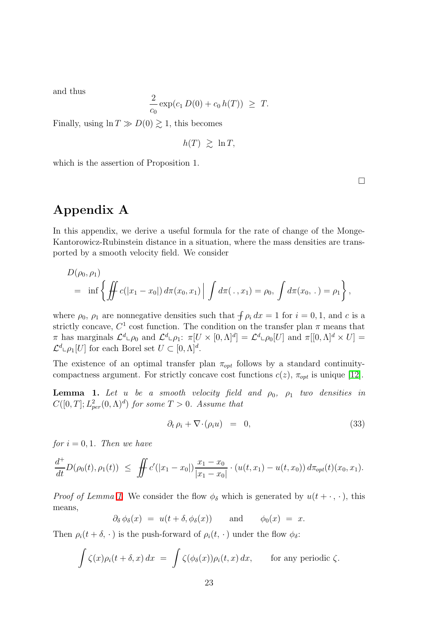and thus

$$
\frac{2}{c_0} \exp(c_1 D(0) + c_0 h(T)) \geq T.
$$

Finally, using  $\ln T \gg D(0) \gtrsim 1$ , this becomes

$$
h(T) \geq \ln T,
$$

which is the assertion of Proposition 1.

Appendix A

In this appendix, we derive a useful formula for the rate of change of the Monge-Kantorowicz-Rubinstein distance in a situation, where the mass densities are transported by a smooth velocity field. We consider

$$
D(\rho_0, \rho_1) = \inf \left\{ \iint c(|x_1 - x_0|) d\pi(x_0, x_1) \middle| \int d\pi(\cdot, x_1) = \rho_0, \int d\pi(x_0, \cdot) = \rho_1 \right\},\,
$$

where  $\rho_0$ ,  $\rho_1$  are nonnegative densities such that  $\int \rho_i dx = 1$  for  $i = 0, 1$ , and c is a strictly concave,  $C^1$  cost function. The condition on the transfer plan  $\pi$  means that  $\pi$  has marginals  $\mathcal{L}^d \llcorner \rho_0$  and  $\mathcal{L}^d \llcorner \rho_1$ :  $\pi[U \times [0, \Lambda]^d] = \mathcal{L}^d \llcorner \rho_0[U]$  and  $\pi[[0, \Lambda]^d \times U] =$  $\mathcal{L}^d \llcorner \rho_1[U]$  for each Borel set  $U \subset [0,\Lambda]^d$ .

<span id="page-23-0"></span>The existence of an optimal transfer plan  $\pi_{opt}$  follows by a standard continuitycompactness argument. For strictly concave cost functions  $c(z)$ ,  $\pi_{opt}$  is unique [\[12\]](#page-26-13).

**Lemma 1.** Let u be a smooth velocity field and  $\rho_0$ ,  $\rho_1$  two densities in  $C([0,T];L^2_{per}(0,\Lambda)^d)$  for some  $T>0$ . Assume that

<span id="page-23-1"></span>
$$
\partial_t \rho_i + \nabla \cdot (\rho_i u) = 0, \tag{33}
$$

for  $i = 0, 1$ . Then we have

$$
\frac{d^+}{dt}D(\rho_0(t),\rho_1(t)) \leq \iint c'(|x_1-x_0|)\frac{x_1-x_0}{|x_1-x_0|}\cdot (u(t,x_1)-u(t,x_0)) d\pi_{opt}(t)(x_0,x_1).
$$

*Proof of Lemma [1](#page-23-0)* We consider the flow  $\phi_{\delta}$  which is generated by  $u(t + \cdot, \cdot)$ , this means,

$$
\partial_{\delta} \phi_{\delta}(x) = u(t + \delta, \phi_{\delta}(x))
$$
 and  $\phi_0(x) = x$ .

Then  $\rho_i(t + \delta, \cdot)$  is the push-forward of  $\rho_i(t, \cdot)$  under the flow  $\phi_{\delta}$ :

$$
\int \zeta(x)\rho_i(t+\delta,x)\,dx = \int \zeta(\phi_\delta(x))\rho_i(t,x)\,dx, \quad \text{for any periodic }\zeta.
$$

 $\Box$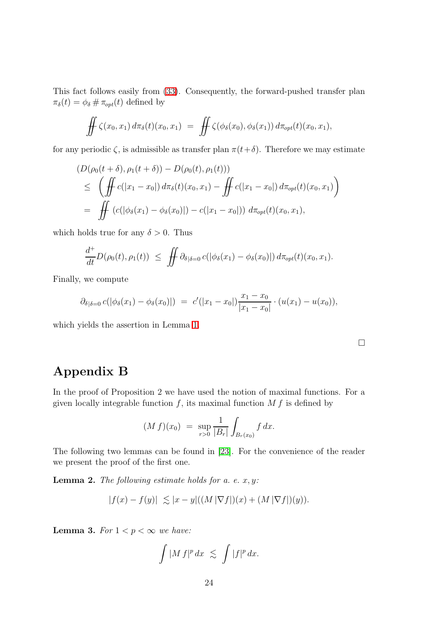This fact follows easily from [\(33\)](#page-23-1). Consequently, the forward-pushed transfer plan  $\pi_{\delta}(t) = \phi_{\delta} \# \pi_{opt}(t)$  defined by

$$
\iint \zeta(x_0,x_1) d\pi_{\delta}(t)(x_0,x_1) = \iint \zeta(\phi_{\delta}(x_0),\phi_{\delta}(x_1)) d\pi_{opt}(t)(x_0,x_1),
$$

for any periodic  $\zeta$ , is admissible as transfer plan  $\pi(t+\delta)$ . Therefore we may estimate

$$
(D(\rho_0(t+\delta), \rho_1(t+\delta)) - D(\rho_0(t), \rho_1(t)))
$$
  
\n
$$
\leq \left( \iint c(|x_1 - x_0|) d\pi_{\delta}(t)(x_0, x_1) - \iint c(|x_1 - x_0|) d\pi_{opt}(t)(x_0, x_1) \right)
$$
  
\n
$$
= \iint (c(|\phi_{\delta}(x_1) - \phi_{\delta}(x_0)|) - c(|x_1 - x_0|)) d\pi_{opt}(t)(x_0, x_1),
$$

which holds true for any  $\delta > 0$ . Thus

$$
\frac{d^+}{dt}D(\rho_0(t),\rho_1(t)) \leq \iint \partial_{\delta|\delta=0} c(|\phi_{\delta}(x_1)-\phi_{\delta}(x_0)|) d\pi_{opt}(t)(x_0,x_1).
$$

Finally, we compute

$$
\partial_{\delta|\delta=0} c(|\phi_{\delta}(x_1)-\phi_{\delta}(x_0)|) = c'(|x_1-x_0|)\frac{x_1-x_0}{|x_1-x_0|}\cdot (u(x_1)-u(x_0)),
$$

which yields the assertion in Lemma [1.](#page-23-0)

# Appendix B

In the proof of Proposition 2 we have used the notion of maximal functions. For a given locally integrable function  $f$ , its maximal function  $M f$  is defined by

$$
(M f)(x_0) = \sup_{r>0} \frac{1}{|B_r|} \int_{B_r(x_0)} f \, dx.
$$

<span id="page-24-0"></span>The following two lemmas can be found in [\[23\]](#page-27-9). For the convenience of the reader we present the proof of the first one.

**Lemma 2.** The following estimate holds for a. e.  $x, y$ :

$$
|f(x) - f(y)| \le |x - y|((M|\nabla f|)(x) + (M|\nabla f|)(y)).
$$

<span id="page-24-1"></span>**Lemma 3.** For  $1 < p < \infty$  we have:

$$
\int |M f|^p dx \leq \int |f|^p dx.
$$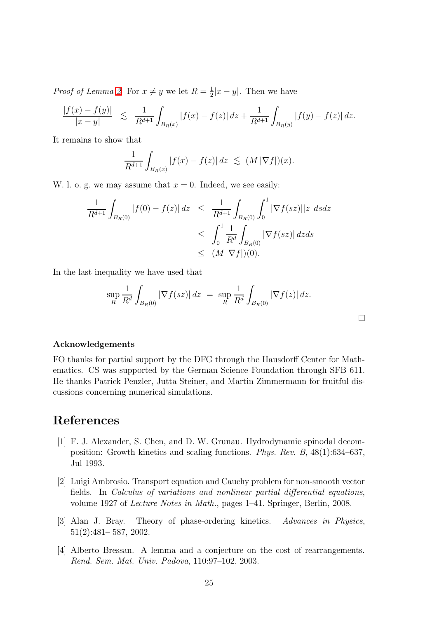*Proof of Lemma [2](#page-24-0)* For  $x \neq y$  we let  $R = \frac{1}{2}$  $\frac{1}{2}|x-y|$ . Then we have

$$
\frac{|f(x) - f(y)|}{|x - y|} \le \frac{1}{R^{d+1}} \int_{B_R(x)} |f(x) - f(z)| dz + \frac{1}{R^{d+1}} \int_{B_R(y)} |f(y) - f(z)| dz.
$$

It remains to show that

$$
\frac{1}{R^{d+1}}\int_{B_R(x)}|f(x)-f(z)|\,dz \lesssim (M\,\vert \nabla f\vert)(x).
$$

W. l. o. g. we may assume that  $x = 0$ . Indeed, we see easily:

$$
\frac{1}{R^{d+1}} \int_{B_R(0)} |f(0) - f(z)| dz \leq \frac{1}{R^{d+1}} \int_{B_R(0)} \int_0^1 |\nabla f(sz)| |z| ds dz
$$
  
\n
$$
\leq \int_0^1 \frac{1}{R^d} \int_{B_R(0)} |\nabla f(sz)| dz ds
$$
  
\n
$$
\leq (M |\nabla f|)(0).
$$

In the last inequality we have used that

$$
\sup_{R} \frac{1}{R^{d}} \int_{B_{R}(0)} |\nabla f(sz)| dz = \sup_{R} \frac{1}{R^{d}} \int_{B_{R}(0)} |\nabla f(z)| dz.
$$

 $\Box$ 

#### Acknowledgements

FO thanks for partial support by the DFG through the Hausdorff Center for Mathematics. CS was supported by the German Science Foundation through SFB 611. He thanks Patrick Penzler, Jutta Steiner, and Martin Zimmermann for fruitful discussions concerning numerical simulations.

## <span id="page-25-1"></span>References

- [1] F. J. Alexander, S. Chen, and D. W. Grunau. Hydrodynamic spinodal decomposition: Growth kinetics and scaling functions. Phys. Rev. B, 48(1):634–637, Jul 1993.
- <span id="page-25-3"></span>[2] Luigi Ambrosio. Transport equation and Cauchy problem for non-smooth vector fields. In Calculus of variations and nonlinear partial differential equations, volume 1927 of Lecture Notes in Math., pages 1–41. Springer, Berlin, 2008.
- <span id="page-25-0"></span>[3] Alan J. Bray. Theory of phase-ordering kinetics. Advances in Physics, 51(2):481– 587, 2002.
- <span id="page-25-2"></span>[4] Alberto Bressan. A lemma and a conjecture on the cost of rearrangements. Rend. Sem. Mat. Univ. Padova, 110:97–102, 2003.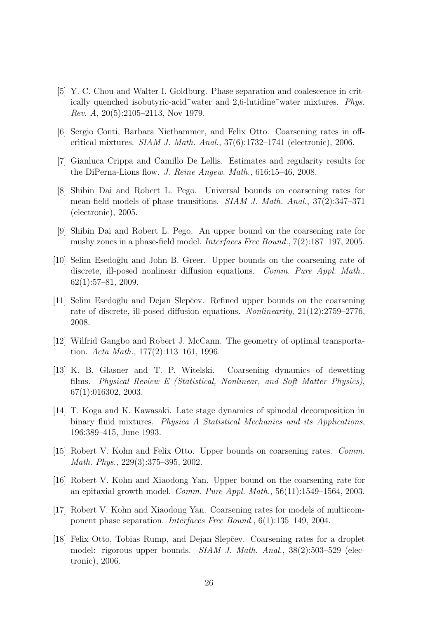- <span id="page-26-1"></span>[5] Y. C. Chou and Walter I. Goldburg. Phase separation and coalescence in critically quenched isobutyric-acid¯water and 2,6-lutidine¯water mixtures. Phys. Rev. A, 20(5):2105–2113, Nov 1979.
- <span id="page-26-4"></span>[6] Sergio Conti, Barbara Niethammer, and Felix Otto. Coarsening rates in offcritical mixtures. SIAM J. Math. Anal., 37(6):1732–1741 (electronic), 2006.
- <span id="page-26-12"></span><span id="page-26-5"></span>[7] Gianluca Crippa and Camillo De Lellis. Estimates and regularity results for the DiPerna-Lions flow. J. Reine Angew. Math., 616:15–46, 2008.
- [8] Shibin Dai and Robert L. Pego. Universal bounds on coarsening rates for mean-field models of phase transitions. SIAM J. Math. Anal., 37(2):347–371 (electronic), 2005.
- <span id="page-26-6"></span>[9] Shibin Dai and Robert L. Pego. An upper bound on the coarsening rate for mushy zones in a phase-field model. Interfaces Free Bound., 7(2):187–197, 2005.
- <span id="page-26-10"></span>[10] Selim Esedoglu and John B. Greer. Upper bounds on the coarsening rate of discrete, ill-posed nonlinear diffusion equations. Comm. Pure Appl. Math., 62(1):57–81, 2009.
- <span id="page-26-11"></span>[11] Selim Esedoglu and Dejan Slepčev. Refined upper bounds on the coarsening rate of discrete, ill-posed diffusion equations. Nonlinearity, 21(12):2759–2776, 2008.
- <span id="page-26-13"></span><span id="page-26-9"></span>[12] Wilfrid Gangbo and Robert J. McCann. The geometry of optimal transportation. Acta Math., 177(2):113–161, 1996.
- [13] K. B. Glasner and T. P. Witelski. Coarsening dynamics of dewetting films. Physical Review E (Statistical, Nonlinear, and Soft Matter Physics), 67(1):016302, 2003.
- <span id="page-26-2"></span>[14] T. Koga and K. Kawasaki. Late stage dynamics of spinodal decomposition in binary fluid mixtures. Physica A Statistical Mechanics and its Applications, 196:389–415, June 1993.
- <span id="page-26-7"></span><span id="page-26-0"></span>[15] Robert V. Kohn and Felix Otto. Upper bounds on coarsening rates. Comm. Math. Phys., 229(3):375–395, 2002.
- [16] Robert V. Kohn and Xiaodong Yan. Upper bound on the coarsening rate for an epitaxial growth model. *Comm. Pure Appl. Math.*,  $56(11):1549-1564$ ,  $2003$ .
- <span id="page-26-3"></span>[17] Robert V. Kohn and Xiaodong Yan. Coarsening rates for models of multicomponent phase separation. Interfaces Free Bound., 6(1):135–149, 2004.
- <span id="page-26-8"></span>[18] Felix Otto, Tobias Rump, and Dejan Slepˇcev. Coarsening rates for a droplet model: rigorous upper bounds. SIAM J. Math. Anal., 38(2):503–529 (electronic), 2006.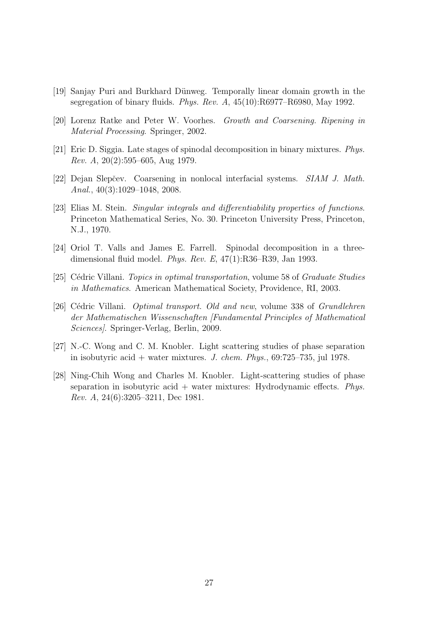- <span id="page-27-4"></span><span id="page-27-1"></span>[19] Sanjay Puri and Burkhard Dünweg. Temporally linear domain growth in the segregation of binary fluids. Phys. Rev. A, 45(10):R6977–R6980, May 1992.
- <span id="page-27-0"></span>[20] Lorenz Ratke and Peter W. Voorhes. Growth and Coarsening. Ripening in Material Processing. Springer, 2002.
- <span id="page-27-6"></span>[21] Eric D. Siggia. Late stages of spinodal decomposition in binary mixtures. Phys. *Rev. A*,  $20(2):595-605$ , Aug 1979.
- <span id="page-27-9"></span>[22] Dejan Slepčev. Coarsening in nonlocal interfacial systems. SIAM J. Math. Anal., 40(3):1029–1048, 2008.
- [23] Elias M. Stein. Singular integrals and differentiability properties of functions. Princeton Mathematical Series, No. 30. Princeton University Press, Princeton, N.J., 1970.
- <span id="page-27-7"></span><span id="page-27-5"></span>[24] Oriol T. Valls and James E. Farrell. Spinodal decomposition in a threedimensional fluid model. Phys. Rev. E, 47(1):R36–R39, Jan 1993.
- <span id="page-27-8"></span>[25] Cédric Villani. Topics in optimal transportation, volume 58 of Graduate Studies in Mathematics. American Mathematical Society, Providence, RI, 2003.
- [26] Cédric Villani. *Optimal transport. Old and new*, volume 338 of *Grundlehren* der Mathematischen Wissenschaften [Fundamental Principles of Mathematical Sciences]. Springer-Verlag, Berlin, 2009.
- <span id="page-27-3"></span><span id="page-27-2"></span>[27] N.-C. Wong and C. M. Knobler. Light scattering studies of phase separation in isobutyric acid + water mixtures. J. chem. Phys.,  $69:725-735$ , jul 1978.
- [28] Ning-Chih Wong and Charles M. Knobler. Light-scattering studies of phase separation in isobutyric acid  $+$  water mixtures: Hydrodynamic effects. Phys. Rev. A, 24(6):3205–3211, Dec 1981.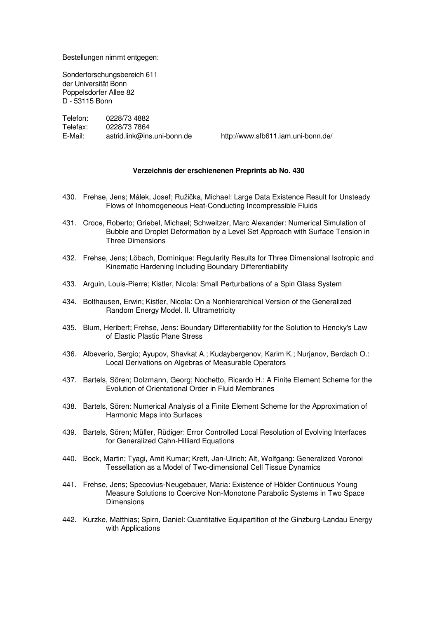Bestellungen nimmt entgegen:

Sonderforschungsbereich 611 der Universität Bonn Poppelsdorfer Allee 82 D - 53115 Bonn

Telefon: 0228/73 4882 Telefax: 0228/73 7864 E-Mail: astrid.link@ins.uni-bonn.de http://www.sfb611.iam.uni-bonn.de/

#### **Verzeichnis der erschienenen Preprints ab No. 430**

- 430. Frehse, Jens; Málek, Josef; Ružička, Michael: Large Data Existence Result for Unsteady Flows of Inhomogeneous Heat-Conducting Incompressible Fluids
- 431. Croce, Roberto; Griebel, Michael; Schweitzer, Marc Alexander: Numerical Simulation of Bubble and Droplet Deformation by a Level Set Approach with Surface Tension in Three Dimensions
- 432. Frehse, Jens; Löbach, Dominique: Regularity Results for Three Dimensional Isotropic and Kinematic Hardening Including Boundary Differentiability
- 433. Arguin, Louis-Pierre; Kistler, Nicola: Small Perturbations of a Spin Glass System
- 434. Bolthausen, Erwin; Kistler, Nicola: On a Nonhierarchical Version of the Generalized Random Energy Model. II. Ultrametricity
- 435. Blum, Heribert; Frehse, Jens: Boundary Differentiability for the Solution to Hencky's Law of Elastic Plastic Plane Stress
- 436. Albeverio, Sergio; Ayupov, Shavkat A.; Kudaybergenov, Karim K.; Nurjanov, Berdach O.: Local Derivations on Algebras of Measurable Operators
- 437. Bartels, Sören; Dolzmann, Georg; Nochetto, Ricardo H.: A Finite Element Scheme for the Evolution of Orientational Order in Fluid Membranes
- 438. Bartels, Sören: Numerical Analysis of a Finite Element Scheme for the Approximation of Harmonic Maps into Surfaces
- 439. Bartels, Sören; Müller, Rüdiger: Error Controlled Local Resolution of Evolving Interfaces for Generalized Cahn-Hilliard Equations
- 440. Bock, Martin; Tyagi, Amit Kumar; Kreft, Jan-Ulrich; Alt, Wolfgang: Generalized Voronoi Tessellation as a Model of Two-dimensional Cell Tissue Dynamics
- 441. Frehse, Jens; Specovius-Neugebauer, Maria: Existence of Hölder Continuous Young Measure Solutions to Coercive Non-Monotone Parabolic Systems in Two Space **Dimensions**
- 442. Kurzke, Matthias; Spirn, Daniel: Quantitative Equipartition of the Ginzburg-Landau Energy with Applications